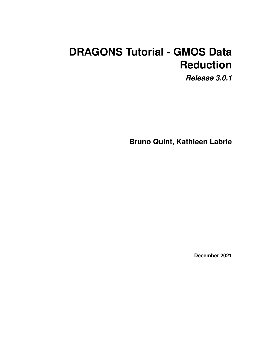# **DRAGONS Tutorial - GMOS Data Reduction**

*Release 3.0.1*

**Bruno Quint, Kathleen Labrie**

**December 2021**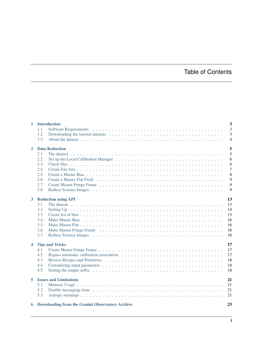## Table of Contents

|                         | 1 Introduction                                                                                                                                                                                                                        | $\overline{\mathbf{3}}$ |
|-------------------------|---------------------------------------------------------------------------------------------------------------------------------------------------------------------------------------------------------------------------------------|-------------------------|
|                         | 1.1                                                                                                                                                                                                                                   | 3                       |
|                         | 1.2                                                                                                                                                                                                                                   | $\overline{3}$          |
|                         | 1.3                                                                                                                                                                                                                                   | $\overline{4}$          |
| $\mathbf{2}$            | <b>Data Reduction</b>                                                                                                                                                                                                                 | 5                       |
|                         | 2.1                                                                                                                                                                                                                                   | 5                       |
|                         | 2.2                                                                                                                                                                                                                                   | 6                       |
|                         | 2.3                                                                                                                                                                                                                                   | 6                       |
|                         | 2.4                                                                                                                                                                                                                                   | $\overline{7}$          |
|                         | 2.5                                                                                                                                                                                                                                   | 8                       |
|                         | 2.6                                                                                                                                                                                                                                   | 9                       |
|                         | 2.7                                                                                                                                                                                                                                   | 9                       |
|                         | 2.8                                                                                                                                                                                                                                   | 9                       |
|                         |                                                                                                                                                                                                                                       |                         |
| $\mathbf{3}$            | <b>Reduction using API</b>                                                                                                                                                                                                            | 13                      |
|                         | 3.1                                                                                                                                                                                                                                   | 13                      |
|                         | 3.2<br>Setting Up received to the contract of the Up to the Contract of the Contract of the Contract of the Contract of the Up to the Up to the Up to the Up to the Up to the Up to the Up to the Up to the Up to the Up to the Up to | 14                      |
|                         | 3.3                                                                                                                                                                                                                                   | 15                      |
|                         | 3.4                                                                                                                                                                                                                                   | 16                      |
|                         | 3.5                                                                                                                                                                                                                                   | 16                      |
|                         | 3.6                                                                                                                                                                                                                                   | 16                      |
|                         | 3.7                                                                                                                                                                                                                                   | 16                      |
| $\overline{\mathbf{4}}$ |                                                                                                                                                                                                                                       | 17                      |
|                         | <b>Tips and Tricks</b><br>4.1                                                                                                                                                                                                         | 17                      |
|                         |                                                                                                                                                                                                                                       |                         |
|                         | 4.2                                                                                                                                                                                                                                   | 17                      |
|                         | 4.3                                                                                                                                                                                                                                   | 18                      |
|                         | 4.4                                                                                                                                                                                                                                   | 18                      |
|                         | 4.5                                                                                                                                                                                                                                   | 18                      |
| 5                       | <b>Issues and Limitations</b>                                                                                                                                                                                                         | 21                      |
|                         | 5.1                                                                                                                                                                                                                                   | 21                      |
|                         | 5.2                                                                                                                                                                                                                                   | 21                      |
|                         | 5.3                                                                                                                                                                                                                                   | 21                      |
|                         |                                                                                                                                                                                                                                       |                         |
|                         | 6 Downloading from the Gemini Observatory Archive                                                                                                                                                                                     | 23                      |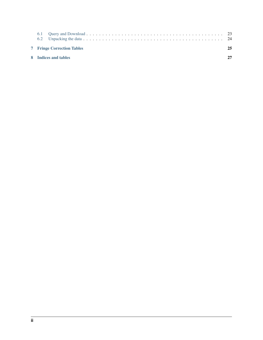| <b>7</b> Fringe Correction Tables | 25 |
|-----------------------------------|----|
| 8 Indices and tables              | 27 |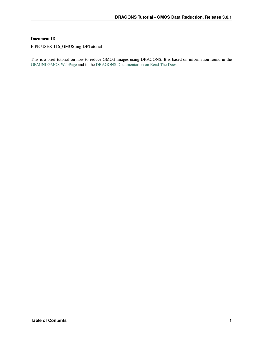#### Document ID

PIPE-USER-116\_GMOSImg-DRTutorial

This is a brief tutorial on how to reduce GMOS images using DRAGONS. It is based on information found in the [GEMINI GMOS WebPage](https://www.gemini.edu/sciops/instruments/gmos/) and in the [DRAGONS Documentation on Read The Docs.](https://dragons.readthedocs.io/en/latest/)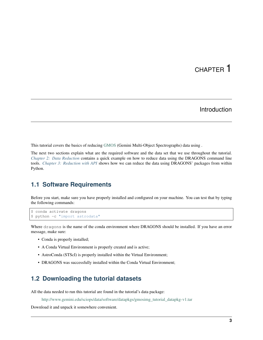## Introduction

<span id="page-6-0"></span>This tutorial covers the basics of reducing [GMOS](https://www.gemini.edu/sciops/instruments/gmos/) (Gemini Multi-Object Spectrographs) data using .

The next two sections explain what are the required software and the data set that we use throughout the tutorial. *[Chapter 2: Data Reduction](#page-8-0)* contains a quick example on how to reduce data using the DRAGONS command line tools. *[Chapter 3: Reduction with API](#page-16-0)* shows how we can reduce the data using DRAGONS' packages from within Python.

## <span id="page-6-1"></span>**1.1 Software Requirements**

Before you start, make sure you have properly installed and configured on your machine. You can test that by typing the following commands:

```
$ conda activate dragons
$ python -c "import astrodata"
```
Where dragons is the name of the conda environment where DRAGONS should be installed. If you have an error message, make sure:

- Conda is properly installed;
- A Conda Virtual Environment is properly created and is active;
- AstroConda (STScI) is properly installed within the Virtual Environment;
- DRAGONS was successfully installed within the Conda Virtual Environment;

## <span id="page-6-2"></span>**1.2 Downloading the tutorial datasets**

All the data needed to run this tutorial are found in the tutorial's data package:

[http://www.gemini.edu/sciops/data/software/datapkgs/gmosimg\\_tutorial\\_datapkg-v1.tar](http://www.gemini.edu/sciops/data/software/datapkgs/gmosimg_tutorial_datapkg-v1.tar)

Download it and unpack it somewhere convenient.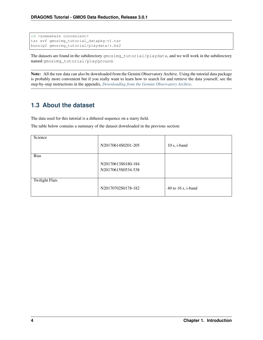```
cd <somewhere convenient>
tar xvf gmosimg_tutorial_datapkg-v1.tar
bunzip2 gmosimg_tutorial/playdata/*.bz2
```
The datasets are found in the subdirectory gmosimg\_tutorial/playdata, and we will work in the subdirectory named gmosimg\_tutorial/playground.

Note: All the raw data can also be downloaded from the Gemini Observatory Archive. Using the tutorial data package is probably more convenient but if you really want to learn how to search for and retrieve the data yourself, see the step-by-step instructions in the appendix, *[Downloading from the Gemini Observatory Archive](#page-26-0)*.

## <span id="page-7-0"></span>**1.3 About the dataset**

The data used for this tutorial is a dithered sequence on a starry field.

The table below contains a summary of the dataset downloaded in the previous section:

| Science               | N20170614S0201-205 | $10 s$ , i-band    |
|-----------------------|--------------------|--------------------|
| <b>Bias</b>           |                    |                    |
|                       | N20170613S0180-184 |                    |
|                       | N20170615S0534-538 |                    |
|                       |                    |                    |
| <b>Twilight Flats</b> |                    |                    |
|                       | N20170702S0178-182 | 40 to 16 s, i-band |
|                       |                    |                    |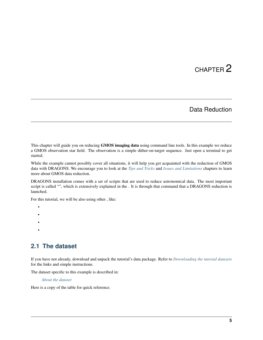## Data Reduction

<span id="page-8-0"></span>This chapter will guide you on reducing GMOS imaging data using command line tools. In this example we reduce a GMOS observation star field. The observation is a simple dither-on-target sequence. Just open a terminal to get started.

While the example cannot possibly cover all situations, it will help you get acquainted with the reduction of GMOS data with DRAGONS. We encourage you to look at the *[Tips and Tricks](#page-20-0)* and *[Issues and Limitations](#page-24-0)* chapters to learn more about GMOS data reduction.

DRAGONS installation comes with a set of scripts that are used to reduce astronomical data. The most important script is called "", which is extensively explained in the . It is through that command that a DRAGONS reduction is launched.

For this tutorial, we will be also using other , like:

- •
- •
- 
- •
- •

## <span id="page-8-1"></span>**2.1 The dataset**

If you have not already, download and unpack the tutorial's data package. Refer to *[Downloading the tutorial datasets](#page-6-2)* for the links and simple instructions.

The dataset specific to this example is described in:

*[About the dataset](#page-7-0)*

Here is a copy of the table for quick reference.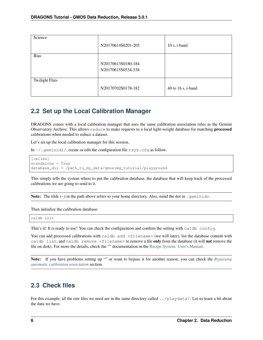| Science               | N20170614S0201-205                       | $10 s$ , i-band    |
|-----------------------|------------------------------------------|--------------------|
| <b>Bias</b>           | N20170613S0180-184<br>N20170615S0534-538 |                    |
| <b>Twilight Flats</b> | N20170702S0178-182                       | 40 to 16 s, i-band |

## <span id="page-9-0"></span>**2.2 Set up the Local Calibration Manager**

DRAGONS comes with a local calibration manager that uses the same calibration association rules as the Gemini Observatory Archive. This allows reduce to make requests to a local light-weight database for matching processed calibrations when needed to reduce a dataset.

Let's set up the local calibration manager for this session.

In  $\sim$  /. geminidr/, create or edit the configuration file rsys.cfg as follow:

```
[calibs]
standalone = True
database_dir = /path_to_my_data/gmosimg_tutorial/playground
```
This simply tells the system where to put the calibration database, the database that will keep track of the processed calibrations we are going to send to it.

**Note:** The tilde  $(\sim)$  in the path above refers to your home directory. Also, mind the dot in . geminidr.

Then initialize the calibration database:

caldb init

That's it! It is ready to use! You can check the configuration and confirm the setting with caldb config.

You can add processed calibrations with caldb add <filename> (we will later), list the database content with caldb list, and caldb remove <filename> to remove a file only from the database (it will not remove the file on disk). For more the details, check the "" documentation in the [Recipe System: User's Manual.](https://dragons-recipe-system-users-manual.readthedocs.io/)

Note: If you have problems setting up "" or want to bypass it for another reason, you can check the *[Bypassing](#page-20-2) [automatic calibration association](#page-20-2)* section.

## <span id="page-9-1"></span>**2.3 Check files**

For this example, all the raw files we need are in the same directory called ../playdata/. Let us learn a bit about the data we have.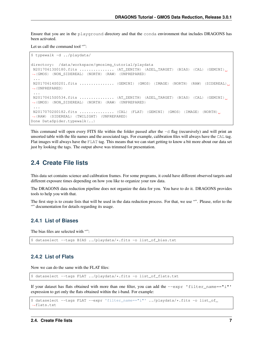Ensure that you are in the playground directory and that the conda environment that includes DRAGONS has been activated.

Let us call the command tool "":

```
$ typewalk -d ../playdata/
directory: /data/workspace/gmosimg_tutorial/playdata
N20170613S0180.fits ............... (AT_ZENITH) (AZEL_TARGET) (BIAS) (CAL) (GEMINI)
\rightarrow(GMOS) (NON_SIDEREAL) (NORTH) (RAW) (UNPREPARED)
 ...
N20170614S0201.fits ............... (GEMINI) (GMOS) (IMAGE) (NORTH) (RAW) (SIDEREAL)..
ightharpoonup (UNPREPARED)
...
N20170615S0534.fits ............... (AT_ZENITH) (AZEL_TARGET) (BIAS) (CAL) (GEMINI)
\rightarrow(GMOS) (NON SIDEREAL) (NORTH) (RAW) (UNPREPARED)
...
N20170702S0182.fits ............... (CAL) (FLAT) (GEMINI) (GMOS) (IMAGE) (NORTH)
˓→(RAW) (SIDEREAL) (TWILIGHT) (UNPREPARED)
Done DataSpider.typewalk(..)
```
This command will open every FITS file within the folder passed after the  $-d$  flag (recursively) and will print an unsorted table with the file names and the associated tags. For example, calibration files will always have the CAL tag. Flat images will always have the FLAT tag. This means that we can start getting to know a bit more about our data set just by looking the tags. The output above was trimmed for presentation.

#### <span id="page-10-0"></span>**2.4 Create File lists**

This data set contains science and calibration frames. For some programs, it could have different observed targets and different exposure times depending on how you like to organize your raw data.

The DRAGONS data reduction pipeline does not organize the data for you. You have to do it. DRAGONS provides tools to help you with that.

The first step is to create lists that will be used in the data reduction process. For that, we use "". Please, refer to the "" documentation for details regarding its usage.

#### **2.4.1 List of Biases**

The bias files are selected with "":

\$ dataselect --tags BIAS ../playdata/\*.fits -o list\_of\_bias.txt

#### **2.4.2 List of Flats**

Now we can do the same with the FLAT files:

\$ dataselect --tags FLAT ../playdata/\*.fits -o list\_of\_flats.txt

If your dataset has flats obtained with more than one filter, you can add the  $-\epsilon_{\text{XDT}}$  'filter name=="i"' expression to get only the flats obtained within the i-band. For example:

```
$ dataselect --tags FLAT --expr 'filter_name=="i"' ../playdata/*.fits -o list_of_
˓→flats.txt
```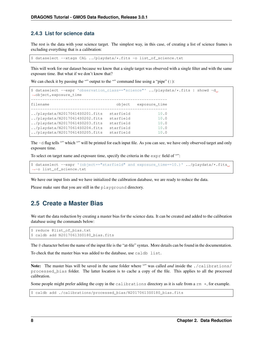#### **2.4.3 List for science data**

The rest is the data with your science target. The simplest way, in this case, of creating a list of science frames is excluding everything that is a calibration:

\$ dataselect --xtags CAL ../playdata/\*.fits -o list\_of\_science.txt

This will work for our dataset because we know that a single target was observed with a single filter and with the same exposure time. But what if we don't know that?

We can check it by passing the "" output to the "" command line using a "pipe" (1):

```
$ dataselect --expr 'observation_class=="science"' ../playdata/*.fits | showd -d.
˓→object,exposure_time
-----------------------------------------------------------
filename bobject exposure_time
                -----------------------------------------------------------
../playdata/N20170614S0201.fits starfield 10.0
../playdata/N20170614S0202.fits starfield 10.0
../playdata/N20170614S0203.fits starfield 10.0
../playdata/N20170614S0204.fits starfield 10.0
../playdata/N20170614S0205.fits starfield 10.0
```
The -d flag tells "" which "" will be printed for each input file. As you can see, we have only observed target and only exposure time.

To select on target name and exposure time, specify the criteria in the expr field of "":

```
$ dataselect --expr '(object=="starfield" and exposure_time==10.)' ../playdata/*.fits.
˓→-o list_of_science.txt
```
We have our input lists and we have initialized the calibration database, we are ready to reduce the data.

Please make sure that you are still in the playground directory.

### <span id="page-11-0"></span>**2.5 Create a Master Bias**

We start the data reduction by creating a master bias for the science data. It can be created and added to the calibration database using the commands below:

```
$ reduce @list_of_bias.txt
$ caldb add N20170613S0180_bias.fits
```
The  $\theta$  character before the name of the input file is the "at-file" syntax. More details can be found in the documentation.

To check that the master bias was added to the database, use caldb list.

Note: The master bias will be saved in the same folder where "" was called *and* inside the ./calibrations/ processed\_bias folder. The latter location is to cache a copy of the file. This applies to all the processed calibration.

Some people might prefer adding the copy in the calibrations directory as it is safe from a  $rm$   $*$ , for example.

\$ caldb add ./calibrations/processed\_bias/N20170613S0180\_bias.fits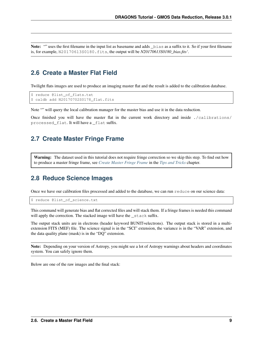Note: "" uses the first filename in the input list as basename and adds \_bias as a suffix to it. So if your first filename is, for example, N20170613S0180.fits, the output will be *N20170613S0180\_bias.fits'*.

## <span id="page-12-0"></span>**2.6 Create a Master Flat Field**

Twilight flats images are used to produce an imaging master flat and the result is added to the calibration database.

```
$ reduce @list_of_flats.txt
$ caldb add N20170702S0178_flat.fits
```
Note "" will query the local calibration manager for the master bias and use it in the data reduction.

Once finished you will have the master flat in the current work directory and inside ./calibrations/ processed\_flat. It will have a \_flat suffix.

### <span id="page-12-1"></span>**2.7 Create Master Fringe Frame**

Warning: The dataset used in this tutorial does not require fringe correction so we skip this step. To find out how to produce a master fringe frame, see *[Create Master Fringe Frame](#page-20-1)* in the *[Tips and Tricks](#page-20-0)* chapter.

#### <span id="page-12-2"></span>**2.8 Reduce Science Images**

Once we have our calibration files processed and added to the database, we can run reduce on our science data:

\$ reduce @list\_of\_science.txt

This command will generate bias and flat corrected files and will stack them. If a fringe frames is needed this command will apply the correction. The stacked image will have the stack suffix.

The output stack units are in electrons (header keyword BUNIT=electrons). The output stack is stored in a multiextension FITS (MEF) file. The science signal is in the "SCI" extension, the variance is in the "VAR" extension, and the data quality plane (mask) is in the "DQ" extension.

Note: Depending on your version of Astropy, you might see a lot of Astropy warnings about headers and coordinates system. You can safely ignore them.

Below are one of the raw images and the final stack: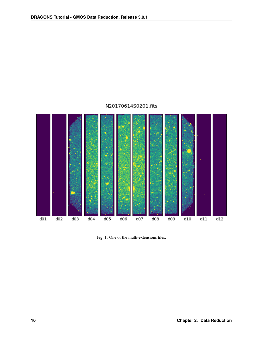### N20170614S0201.fits



Fig. 1: One of the multi-extensions files.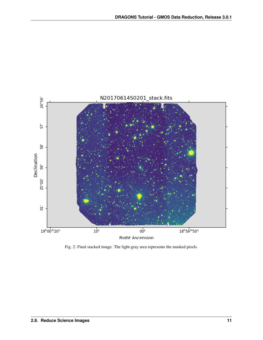

Fig. 2: Final stacked image. The light-gray area represents the masked pixels.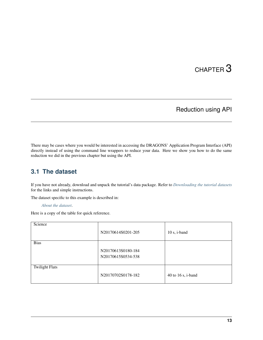## Reduction using API

<span id="page-16-0"></span>There may be cases where you would be interested in accessing the DRAGONS' Application Program Interface (API) directly instead of using the command line wrappers to reduce your data. Here we show you how to do the same reduction we did in the previous chapter but using the API.

## <span id="page-16-1"></span>**3.1 The dataset**

If you have not already, download and unpack the tutorial's data package. Refer to *[Downloading the tutorial datasets](#page-6-2)* for the links and simple instructions.

The dataset specific to this example is described in:

*[About the dataset](#page-7-0)*.

Here is a copy of the table for quick reference.

| Science               | N20170614S0201-205                       | $10 s$ , i-band    |
|-----------------------|------------------------------------------|--------------------|
| <b>Bias</b>           | N20170613S0180-184<br>N20170615S0534-538 |                    |
| <b>Twilight Flats</b> | N20170702S0178-182                       | 40 to 16 s, i-band |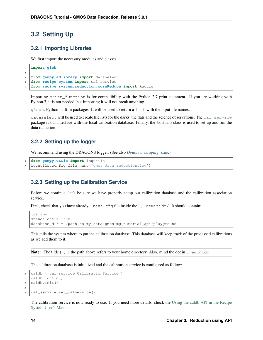## <span id="page-17-0"></span>**3.2 Setting Up**

#### **3.2.1 Importing Libraries**

We first import the necessary modules and classes:

```
1 import glob
\overline{2}3 from gempy.adlibrary import dataselect
4 from recipe_system import cal_service
  5 from recipe_system.reduction.coreReduce import Reduce
```
Importing print\_function is for compatibility with the Python 2.7 print statement. If you are working with Python 3, it is not needed, but importing it will not break anything.

 $q \cdot \log q$  is Python built-in packages. It will be used to return a [list](https://docs.python.org/3/library/stdtypes.html#list) with the input file names.

dataselect will be used to create file lists for the darks, the flats and the science observations. The [cal\\_service](https://dragons.readthedocs.io/projects/recipe-system-prog-manual/en/release-3.0.x/api/recipe_system.cal_service.html#module-recipe_system.cal_service) package is our interface with the local calibration database. Finally, the [Reduce](https://dragons.readthedocs.io/projects/recipe-system-prog-manual/en/release-3.0.x/api/recipe_system.reduction.html#recipe_system.reduction.coreReduce.Reduce) class is used to set up and run the data reduction.

#### **3.2.2 Setting up the logger**

We recommend using the DRAGONS logger. (See also *[Double messaging issue](#page-24-2)*.)

```
8 from gempy.utils import logutils
9 logutils.config(file_name='gmos_data_reduction.log')
```
#### **3.2.3 Setting up the Calibration Service**

Before we continue, let's be sure we have properly setup our calibration database and the calibration association service.

First, check that you have already a rsys.cfg file inside the  $\sim/$ .geminidr/. It should contain:

```
[calibs]
standalone = True
database_dir = /path_to_my_data/gmosimg_tutorial_api/playground
```
This tells the system where to put the calibration database. This database will keep track of the processed calibrations as we add them to it.

**Note:** The tilde  $(\sim)$  in the path above refers to your home directory. Also, mind the dot in .geminidr.

The calibration database is initialized and the calibration service is configured as follow:

```
10 caldb = cal_service.CalibrationService()
11 caldb.config()
12 caldb.init()
   cal_service.set_calservice()
```
The calibration service is now ready to use. If you need more details, check the [Using the caldb API in the Recipe](https://dragons-recipe-system-users-manual.readthedocs.io/en/latest/caldb.html#using-the-caldb-api) [System User's Manual](https://dragons-recipe-system-users-manual.readthedocs.io/en/latest/caldb.html#using-the-caldb-api) .

13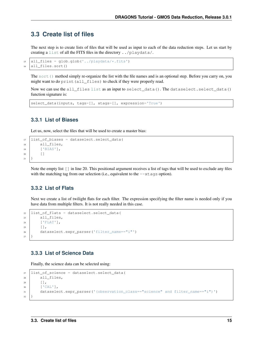## <span id="page-18-0"></span>**3.3 Create list of files**

The next step is to create lists of files that will be used as input to each of the data reduction steps. Let us start by creating a [list](https://docs.python.org/3/library/stdtypes.html#list) of all the FITS files in the directory ../playdata/.

```
15 all_files = glob.glob('../playdata/*.fits')
16 all_files.sort()
```
The  $sort()$  method simply re-organize the list with the file names and is an optional step. Before you carry on, you might want to do print (all files) to check if they were properly read.

Now we can use the all\_files [list](https://docs.python.org/3/library/stdtypes.html#list) as an input to select\_data(). The dataselect.select\_data() function signature is:

select\_data(inputs, tags=[], xtags=[], expression='True')

#### **3.3.1 List of Biases**

Let us, now, select the files that will be used to create a master bias:

```
11 list_of_biases = dataselect.select_data(
18 all_files,
19 ['BIAS'],
20 []
21 )
```
Note the empty list  $\lceil \cdot \rceil$  in line 20. This positional argument receives a list of tags that will be used to exclude any files with the matching tag from our selection (i.e., equivalent to the  $-\text{xtags}$  option).

#### **3.3.2 List of Flats**

Next we create a list of twilight flats for each filter. The expression specifying the filter name is needed only if you have data from multiple filters. It is not really needed in this case.

```
22 list_of_flats = dataselect.select_data(
23 all_files,
24 ['FLAT'],
25 \vert \vert,
26 dataselect.expr_parser('filter_name=="i"')
27 )
```
#### **3.3.3 List of Science Data**

Finally, the science data can be selected using:

```
27 list_of_science = dataselect.select_data(
28 all_files,
29 [],
30 ['CAL'],
31 dataselect.expr_parser('(observation_class=="science" and filter_name=="i")')
32 )
```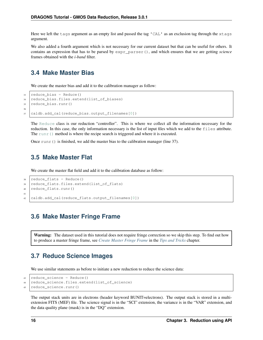Here we left the tags argument as an empty list and passed the tag 'CAL' as an exclusion tag through the xtags argument.

We also added a fourth argument which is not necessary for our current dataset but that can be useful for others. It contains an expression that has to be parsed by expr\_parser(), and which ensures that we are getting *science* frames obtained with the *i-band* filter.

## <span id="page-19-0"></span>**3.4 Make Master Bias**

We create the master bias and add it to the calibration manager as follow:

```
33 reduce_bias = Reduce()
34 reduce_bias.files.extend(list_of_biases)
35 reduce_bias.runr()
36
37 caldb.add_cal(reduce_bias.output_filenames[0])
```
The [Reduce](https://dragons.readthedocs.io/projects/recipe-system-prog-manual/en/release-3.0.x/api/recipe_system.reduction.html#recipe_system.reduction.coreReduce.Reduce) class is our reduction "controller". This is where we collect all the information necessary for the reduction. In this case, the only information necessary is the list of input files which we add to the files attribute. The [runr\(\)](https://dragons.readthedocs.io/projects/recipe-system-prog-manual/en/release-3.0.x/api/recipe_system.reduction.html#recipe_system.reduction.coreReduce.Reduce.runr) method is where the recipe search is triggered and where it is executed.

Once runr() is finished, we add the master bias to the calibration manager (line 37).

## <span id="page-19-1"></span>**3.5 Make Master Flat**

We create the master flat field and add it to the calibration database as follow:

```
38 reduce_flats = Reduce()
39 reduce_flats.files.extend(list_of_flats)
40 reduce_flats.runr()
41
42 caldb.add_cal(reduce_flats.output_filenames[0])
```
## <span id="page-19-2"></span>**3.6 Make Master Fringe Frame**

Warning: The dataset used in this tutorial does not require fringe correction so we skip this step. To find out how to produce a master fringe frame, see *[Create Master Fringe Frame](#page-20-1)* in the *[Tips and Tricks](#page-20-0)* chapter.

## <span id="page-19-3"></span>**3.7 Reduce Science Images**

We use similar statements as before to initiate a new reduction to reduce the science data:

```
43 reduce_science = Reduce()
44 reduce_science.files.extend(list_of_science)
45 reduce_science.runr()
```
The output stack units are in electrons (header keyword BUNIT=electrons). The output stack is stored in a multiextension FITS (MEF) file. The science signal is in the "SCI" extension, the variance is in the "VAR" extension, and the data quality plane (mask) is in the "DQ" extension.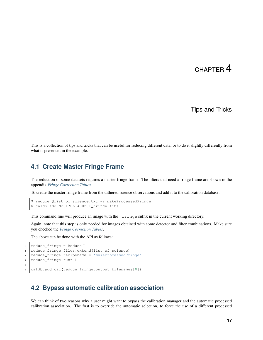Tips and Tricks

<span id="page-20-0"></span>This is a collection of tips and tricks that can be useful for reducing different data, or to do it slightly differently from what is presented in the example.

## <span id="page-20-1"></span>**4.1 Create Master Fringe Frame**

The reduction of some datasets requires a master fringe frame. The filters that need a fringe frame are shown in the appendix *[Fringe Correction Tables](#page-28-0)*.

To create the master fringe frame from the dithered science observations and add it to the calibration database:

```
$ reduce @list_of_science.txt -r makeProcessedFringe
$ caldb add N20170614S0201_fringe.fits
```
This command line will produce an image with the \_fringe suffix in the current working directory.

Again, note that this step is only needed for images obtained with some detector and filter combinations. Make sure you checked the *[Fringe Correction Tables](#page-28-0)*.

The above can be done with the API as follows:

5

```
reduce\_fringe = Reduce()2 | reduce_fringe.files.extend(list_of_science)
3 reduce_fringe.recipename = 'makeProcessedFringe'
4 reduce_fringe.runr()
  caldb.add_cal(reduce_fringe.output_filenames[0])
```
### <span id="page-20-2"></span>**4.2 Bypass automatic calibration association**

We can think of two reasons why a user might want to bypass the calibration manager and the automatic processed calibration association. The first is to override the automatic selection, to force the use of a different processed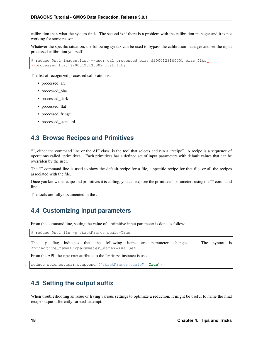calibration than what the system finds. The second is if there is a problem with the calibration manager and it is not working for some reason.

Whatever the specific situation, the following syntax can be used to bypass the calibration manager and set the input processed calibration yourself.

```
$ reduce @sci_images.list --user_cal processed_bias:S20001231S0001_bias.fits
˓→processed_flat:S20001231S0002_flat.fits
```
The list of recognized processed calibration is:

- processed arc
- processed\_bias
- processed\_dark
- processed\_flat
- processed\_fringe
- processed\_standard

## <span id="page-21-0"></span>**4.3 Browse Recipes and Primitives**

"", either the command line or the API class, is the tool that selects and run a "recipe". A recipe is a sequence of operations called "primitives". Each primitives has a defined set of input parameters with default values that can be overriden by the user.

The "" command line is used to show the default recipe for a file, a specific recipe for that file, or all the recipes associated with the file.

Once you know the recipe and primitives it is calling, you can explore the primitives' parameters using the "" command line.

The tools are fully documented in the .

## <span id="page-21-1"></span>**4.4 Customizing input parameters**

From the command line, setting the value of a primitive input parameter is done as follow:

\$ reduce @sci.lis -p stackFrames:scale=True

The -p flag indicates that the following items are parameter changes. The syntax is <primitive\_name>:<parameter\_name>=<value>

From the API, the uparms attribute to the Reduce instance is used.

<sup>1</sup> reduce\_science.uparms.append(("stackFrames:scale", **True**))

## <span id="page-21-2"></span>**4.5 Setting the output suffix**

When troubleshooting an issue or trying various settings to optimize a reduction, it might be useful to name the final recipe output differently for each attempt.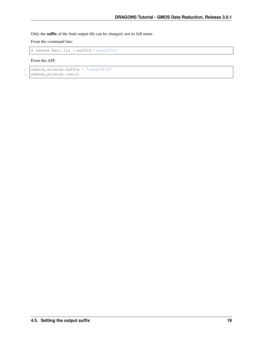Only the suffix of the final output file can be changed, not its full name.

From the command line:

\$ reduce @sci.lis --suffix='newsuffix'

From the API:

```
1 reduce_science.suffix = "newsuffix"
```
2 reduce\_science.runr()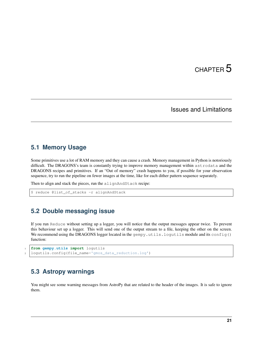## Issues and Limitations

## <span id="page-24-1"></span><span id="page-24-0"></span>**5.1 Memory Usage**

Some primitives use a lot of RAM memory and they can cause a crash. Memory management in Python is notoriously difficult. The DRAGONS's team is constantly trying to improve memory management within astrodata and the DRAGONS recipes and primitives. If an "Out of memory" crash happens to you, if possible for your observation sequence, try to run the pipeline on fewer images at the time, like for each dither pattern sequence separately.

Then to align and stack the pieces, run the alignAndStack recipe:

\$ reduce @list\_of\_stacks -r alignAndStack

## <span id="page-24-2"></span>**5.2 Double messaging issue**

If you run Reduce without setting up a logger, you will notice that the output messages appear twice. To prevent this behaviour set up a logger. This will send one of the output stream to a file, keeping the other on the screen. We recommend using the DRAGONS logger located in the gempy.utils.logutils module and its config() function:

```
1 from gempy.utils import logutils
2 logutils.config(file_name='gmos_data_reduction.log')
```
## <span id="page-24-3"></span>**5.3 Astropy warnings**

You might see some warning messages from AstroPy that are related to the header of the images. It is safe to ignore them.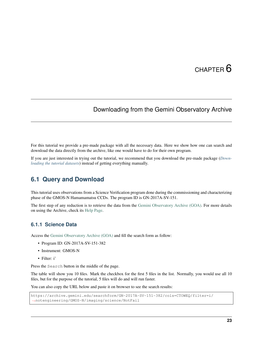## CHAPTER<sup>6</sup>

## <span id="page-26-0"></span>Downloading from the Gemini Observatory Archive

For this tutorial we provide a pre-made package with all the necessary data. Here we show how one can search and download the data directly from the archive, like one would have to do for their own program.

If you are just interested in trying out the tutorial, we recommend that you download the pre-made package (*[Down](#page-6-2)[loading the tutorial datasets](#page-6-2)*) instead of getting everything manually.

## <span id="page-26-1"></span>**6.1 Query and Download**

This tutorial uses observations from a Science Verification program done during the commissioning and characterizing phase of the GMOS-N Hamamamatsu CCDs. The program ID is GN-2017A-SV-151.

The first step of any reduction is to retrieve the data from the [Gemini Observatory Archive \(GOA\).](https://archive.gemini.edu/) For more details on using the Archive, check its [Help Page.](https://archive.gemini.edu/help/index.html)

#### **6.1.1 Science Data**

Access the [Gemini Observatory Archive \(GOA\)](https://archive.gemini.edu/) and fill the search form as follow:

- Program ID: GN-2017A-SV-151-382
- Instrument: GMOS-N
- Filter: i'

Press the Search button in the middle of the page.

The table will show you 10 files. Mark the checkbox for the first 5 files in the list. Normally, you would use all 10 files, but for the purpose of the tutorial, 5 files will do and will run faster.

You can also copy the URL below and paste it on browser to see the search results:

```
https://archive.gemini.edu/searchform/GN-2017A-SV-151-382/cols=CTOWEQ/filter=i/
˓→notengineering/GMOS-N/imaging/science/NotFail
```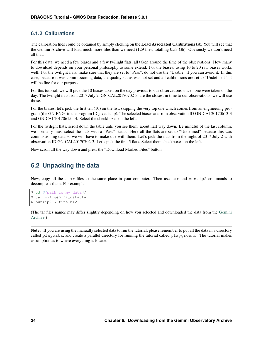#### **6.1.2 Calibrations**

The calibration files could be obtained by simply clicking on the **Load Associated Calibrations** tab. You will see that the Gemini Archive will load much more files than we need (129 files, totalling 0.53 Gb). Obviously we don't need all that.

For this data, we need a few biases and a few twilight flats, all taken around the time of the observations. How many to download depends on your personal philosophy to some extend. For the biases, using 10 to 20 raw biases works well. For the twilight flats, make sure that they are set to "Pass", do not use the "Usable" if you can avoid it. In this case, because it was commissioning data, the quality status was not set and all calibrations are set to "Undefined". It will be fine for our purpose.

For this tutorial, we will pick the 10 biases taken on the day previous to our observations since none were taken on the day. The twilight flats from 2017 July 2, GN-CAL20170702-3, are the closest in time to our observations, we will use those.

For the biases, let's pick the first ten (10) on the list, skipping the very top one which comes from an engineering program (the GN-ENG- in the program ID gives it up). The selected biases are from observation ID GN-CAL20170613-3 and GN-CAL20170615-14. Select the checkboxes on the left.

For the twilight flats, scroll down the table until you see them, about half way down. Be mindful of the last column, we normally must select the flats with a "Pass" status. Here all the flats are set to "Undefined" because this was commissioning data so we will have to make due with them. Let's pick the flats from the night of 2017 July 2 with observation ID GN-CAL20170702-3. Let's pick the first 5 flats. Select them checkboxes on the left.

Now scroll all the way down and press the "Download Marked Files" button.

## <span id="page-27-0"></span>**6.2 Unpacking the data**

Now, copy all the .tar files to the same place in your computer. Then use tar and bunzip2 commands to decompress them. For example:

```
$ cd $ f (path_to_m y_data) /$ tar -xf gemini data.tar
$ bunzip2 *.fits.bz2
```
(The tar files names may differ slightly depending on how you selected and downloaded the data from the [Gemini](https://archive.gemini.edu/searchform) [Archive.](https://archive.gemini.edu/searchform))

Note: If you are using the manually selected data to run the tutorial, please remember to put all the data in a directory called playdata, and create a parallel directory for running the tutorial called playground. The tutorial makes assumption as to where everything is located.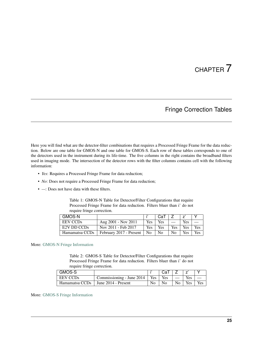## Fringe Correction Tables

<span id="page-28-0"></span>Here you will find what are the detector-filter combinations that requires a Processed Fringe Frame for the data reduction. Below are one table for GMOS-N and one table for GMOS-S. Each row of these tables corresponds to one of the detectors used in the instrument during its life-time. The five columns in the right contains the broadband filters used in imaging mode. The intersection of the detector rows with the filter columns contains cell with the following information:

- *Yes*: Requires a Processed Fringe Frame for data reduction;
- *No*: Does not require a Processed Fringe Frame for data reduction;
- *—*: Does not have data with these filters.

Table 1: GMOS-N Table for Detector/Filter Configurations that require Processed Fringe Frame for data reduction. Filters bluer than i' do not require fringe correction.

| GMOS-N         |                         |                | $CaT + 7$ |                          |            |     |
|----------------|-------------------------|----------------|-----------|--------------------------|------------|-----|
| EEV CCDs       | Aug 2001 - Nov 2011     | <b>Yes</b>     | Yes       | $\overline{\phantom{a}}$ | Yes        |     |
| E2V DD CCDs    | Nov 2011 - Feb 2017     | Yes            | Yes       | Yes                      | Yes        | Yes |
| Hamamatsu CCDs | February 2017 - Present | $\overline{N}$ | No        | $N_{\Omega}$             | <b>Yes</b> | Yes |

#### More: [GMOS-N Fringe Information](https://www.gemini.edu/sciops/instruments/gmos/imaging/fringing/gmosnorth)

Table 2: GMOS-S Table for Detector/Filter Configurations that require Processed Fringe Frame for data reduction. Filters bluer than i' do not require fringe correction.

| GMOS-S          |                                 |                | CaT |                |            |     |
|-----------------|---------------------------------|----------------|-----|----------------|------------|-----|
| <b>EEV CCDs</b> | Commissioning - June 2014   Yes |                | Yes |                | <b>Yes</b> |     |
| Hamamatsu CCDs  | June 2014 - Present             | N <sub>o</sub> | No  | N <sub>0</sub> | Yes        | Yes |

More: [GMOS-S Fringe Information](https://www.gemini.edu/sciops/instruments/gmos/imaging/fringing/gmossouth)